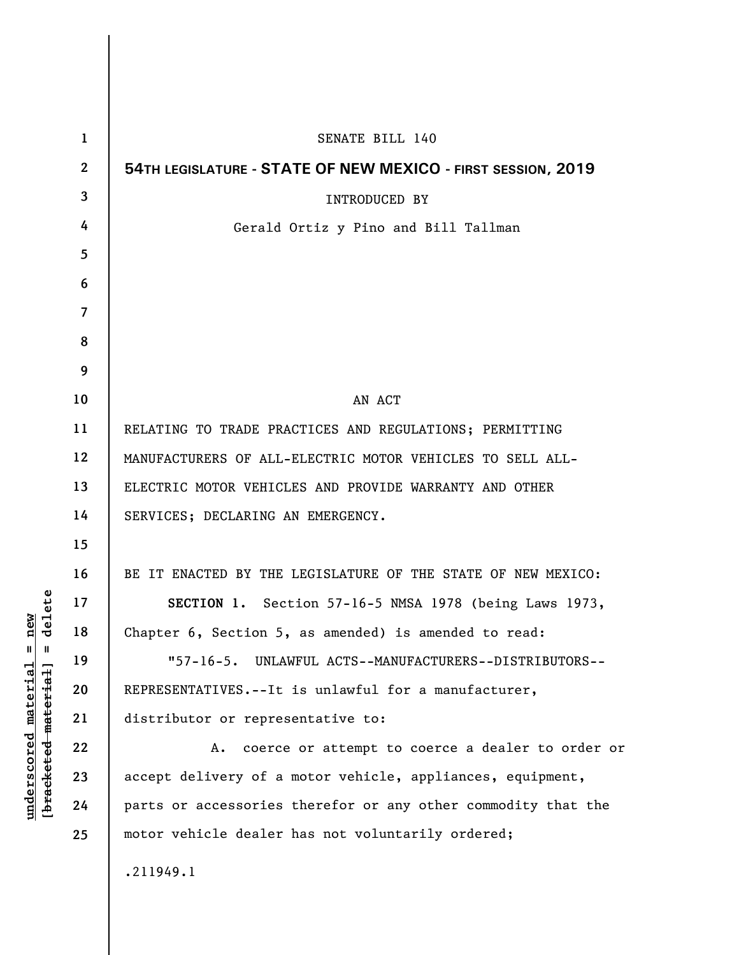| $\mathbf{1}$ | SENATE BILL 140                                               |
|--------------|---------------------------------------------------------------|
| $\mathbf{2}$ | 54TH LEGISLATURE - STATE OF NEW MEXICO - FIRST SESSION, 2019  |
| 3            | <b>INTRODUCED BY</b>                                          |
| 4            | Gerald Ortiz y Pino and Bill Tallman                          |
| 5            |                                                               |
| 6            |                                                               |
| 7            |                                                               |
| 8            |                                                               |
| 9            |                                                               |
| 10           | AN ACT                                                        |
| 11           | RELATING TO TRADE PRACTICES AND REGULATIONS; PERMITTING       |
| 12           | MANUFACTURERS OF ALL-ELECTRIC MOTOR VEHICLES TO SELL ALL-     |
| 13           | ELECTRIC MOTOR VEHICLES AND PROVIDE WARRANTY AND OTHER        |
| 14           | SERVICES; DECLARING AN EMERGENCY.                             |
| 15           |                                                               |
| 16           | BE IT ENACTED BY THE LEGISLATURE OF THE STATE OF NEW MEXICO:  |
| 17           | SECTION 1. Section 57-16-5 NMSA 1978 (being Laws 1973,        |
| 18           | Chapter 6, Section 5, as amended) is amended to read:         |
| 19           | "57-16-5. UNLAWFUL ACTS--MANUFACTURERS--DISTRIBUTORS--        |
| 20           | REPRESENTATIVES.--It is unlawful for a manufacturer,          |
| 21           | distributor or representative to:                             |
| 22           | coerce or attempt to coerce a dealer to order or<br>А.        |
| 23           | accept delivery of a motor vehicle, appliances, equipment,    |
| 24           | parts or accessories therefor or any other commodity that the |
| 25           | motor vehicle dealer has not voluntarily ordered;             |
|              | .211949.1                                                     |

 $\overline{\phantom{a}}$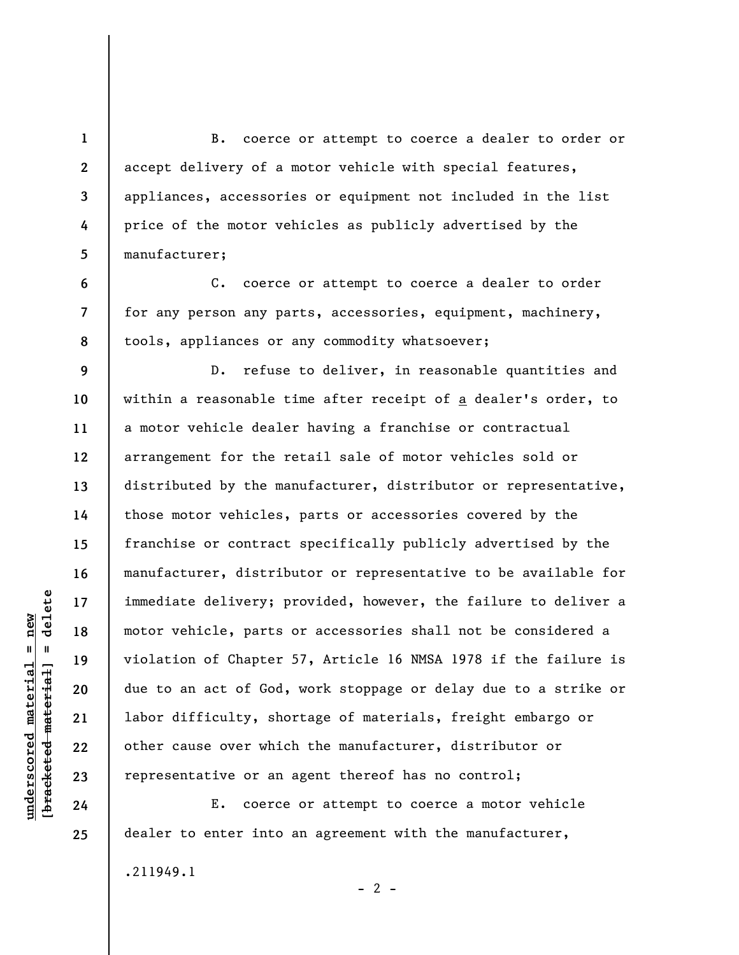B. coerce or attempt to coerce a dealer to order or accept delivery of a motor vehicle with special features, appliances, accessories or equipment not included in the list price of the motor vehicles as publicly advertised by the manufacturer;

C. coerce or attempt to coerce a dealer to order for any person any parts, accessories, equipment, machinery, tools, appliances or any commodity whatsoever;

D. refuse to deliver, in reasonable quantities and within a reasonable time after receipt of a dealer's order, to a motor vehicle dealer having a franchise or contractual arrangement for the retail sale of motor vehicles sold or distributed by the manufacturer, distributor or representative, those motor vehicles, parts or accessories covered by the franchise or contract specifically publicly advertised by the manufacturer, distributor or representative to be available for immediate delivery; provided, however, the failure to deliver a motor vehicle, parts or accessories shall not be considered a violation of Chapter 57, Article 16 NMSA 1978 if the failure is due to an act of God, work stoppage or delay due to a strike or labor difficulty, shortage of materials, freight embargo or other cause over which the manufacturer, distributor or representative or an agent thereof has no control;

E. coerce or attempt to coerce a motor vehicle dealer to enter into an agreement with the manufacturer,

 $\frac{1}{2}$  intereted material = delete **[bracketed material] = delete**  $underscored material = new$ **underscored material = new**

**1** 

**2** 

**3** 

**4** 

**5** 

**6** 

**7** 

**8** 

**9** 

**10** 

**11** 

**12** 

**13** 

**14** 

**15** 

**16** 

**17** 

**18** 

**19** 

**20** 

**21** 

**22** 

**23** 

**24** 

**25** 

.211949.1

 $- 2 -$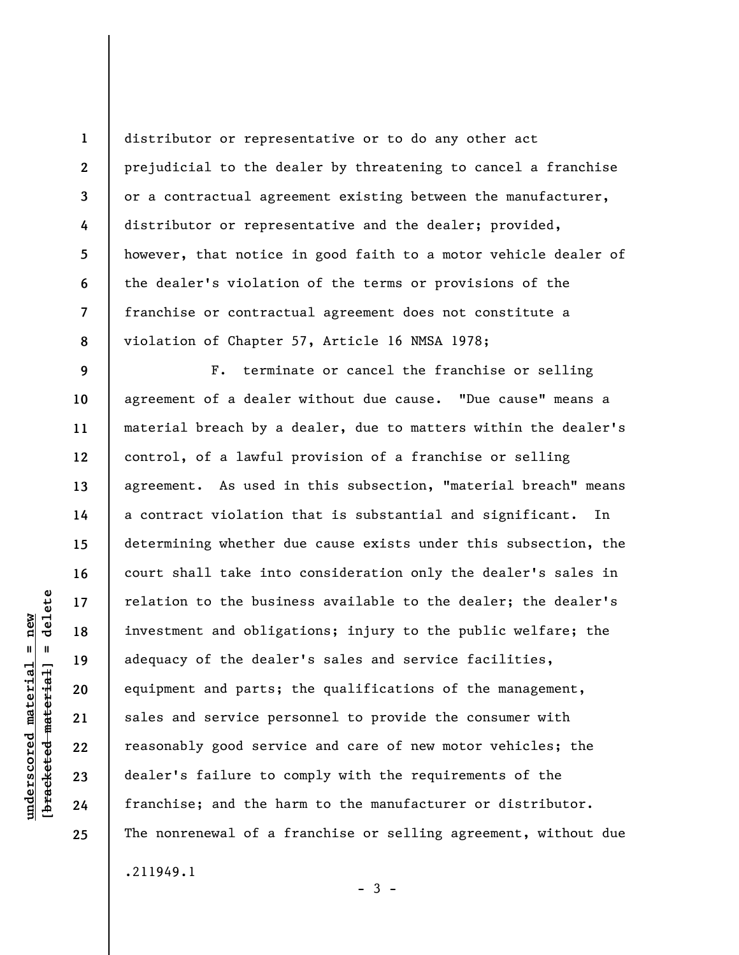**1 2 3 4 5 6 7 8**  distributor or representative or to do any other act prejudicial to the dealer by threatening to cancel a franchise or a contractual agreement existing between the manufacturer, distributor or representative and the dealer; provided, however, that notice in good faith to a motor vehicle dealer of the dealer's violation of the terms or provisions of the franchise or contractual agreement does not constitute a violation of Chapter 57, Article 16 NMSA 1978;

F. terminate or cancel the franchise or selling agreement of a dealer without due cause. "Due cause" means a material breach by a dealer, due to matters within the dealer's control, of a lawful provision of a franchise or selling agreement. As used in this subsection, "material breach" means a contract violation that is substantial and significant. In determining whether due cause exists under this subsection, the court shall take into consideration only the dealer's sales in relation to the business available to the dealer; the dealer's investment and obligations; injury to the public welfare; the adequacy of the dealer's sales and service facilities, equipment and parts; the qualifications of the management, sales and service personnel to provide the consumer with reasonably good service and care of new motor vehicles; the dealer's failure to comply with the requirements of the franchise; and the harm to the manufacturer or distributor. The nonrenewal of a franchise or selling agreement, without due .211949.1

 $-3 -$ 

**9** 

**10** 

**11** 

**12** 

**13** 

**14** 

**15** 

**16** 

**17** 

**18** 

**19** 

**20** 

**21** 

**22** 

**23** 

**24**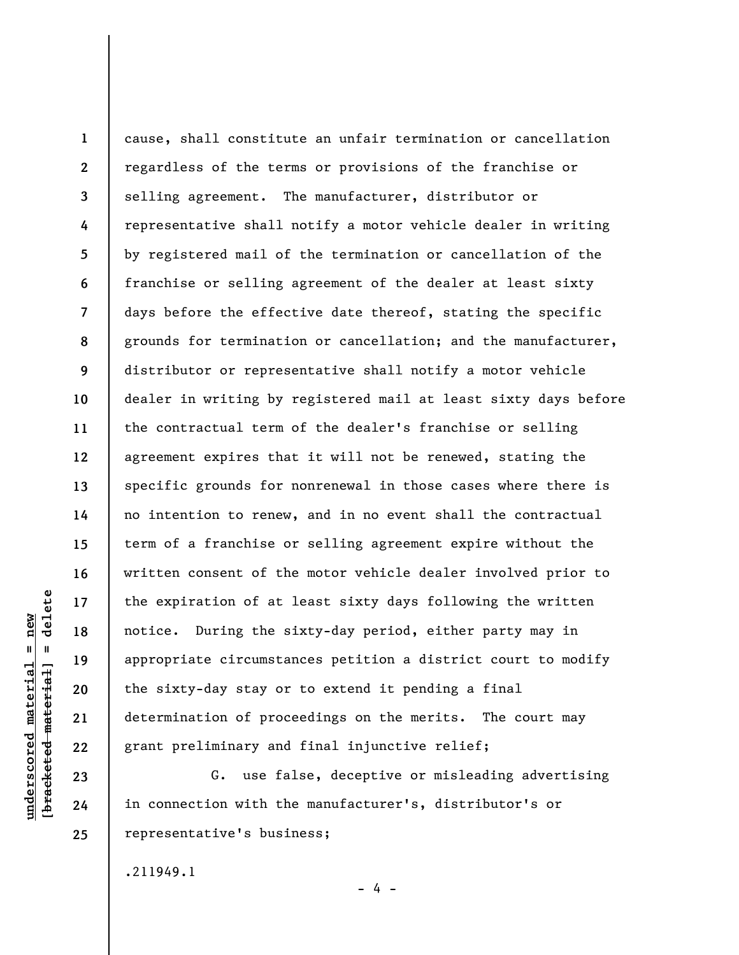**1 2 3 4 5 6 7 8 9 10 11 12 13 14 15 16 17 18 19 20 21 22**  cause, shall constitute an unfair termination or cancellation regardless of the terms or provisions of the franchise or selling agreement. The manufacturer, distributor or representative shall notify a motor vehicle dealer in writing by registered mail of the termination or cancellation of the franchise or selling agreement of the dealer at least sixty days before the effective date thereof, stating the specific grounds for termination or cancellation; and the manufacturer, distributor or representative shall notify a motor vehicle dealer in writing by registered mail at least sixty days before the contractual term of the dealer's franchise or selling agreement expires that it will not be renewed, stating the specific grounds for nonrenewal in those cases where there is no intention to renew, and in no event shall the contractual term of a franchise or selling agreement expire without the written consent of the motor vehicle dealer involved prior to the expiration of at least sixty days following the written notice. During the sixty-day period, either party may in appropriate circumstances petition a district court to modify the sixty-day stay or to extend it pending a final determination of proceedings on the merits. The court may grant preliminary and final injunctive relief;

G. use false, deceptive or misleading advertising in connection with the manufacturer's, distributor's or representative's business;

- 4 -

.211949.1

delete **[bracketed material] = delete**  $anderscored material = new$ **underscored material = new**  $\mathbf{I}$ bracketed material

**23** 

**24**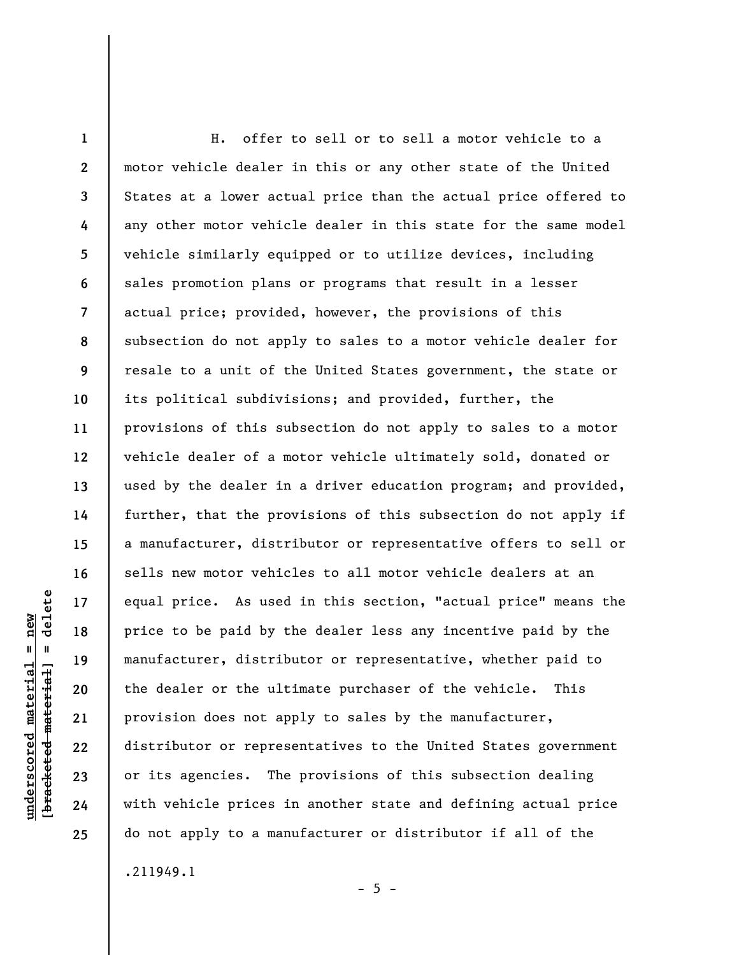**1 2 3 4 5 6 7 8 9 10 11 12 13 14 15 16 17 18 19 20 21 22 23 24 25**  H. offer to sell or to sell a motor vehicle to a motor vehicle dealer in this or any other state of the United States at a lower actual price than the actual price offered to any other motor vehicle dealer in this state for the same model vehicle similarly equipped or to utilize devices, including sales promotion plans or programs that result in a lesser actual price; provided, however, the provisions of this subsection do not apply to sales to a motor vehicle dealer for resale to a unit of the United States government, the state or its political subdivisions; and provided, further, the provisions of this subsection do not apply to sales to a motor vehicle dealer of a motor vehicle ultimately sold, donated or used by the dealer in a driver education program; and provided, further, that the provisions of this subsection do not apply if a manufacturer, distributor or representative offers to sell or sells new motor vehicles to all motor vehicle dealers at an equal price. As used in this section, "actual price" means the price to be paid by the dealer less any incentive paid by the manufacturer, distributor or representative, whether paid to the dealer or the ultimate purchaser of the vehicle. This provision does not apply to sales by the manufacturer, distributor or representatives to the United States government or its agencies. The provisions of this subsection dealing with vehicle prices in another state and defining actual price do not apply to a manufacturer or distributor if all of the

.211949.1

**underscored material = new [bracketed material] = delete**

 $underscored material = new$ 

delete

 $\mathbf{I}$ 

bracketed material

 $- 5 -$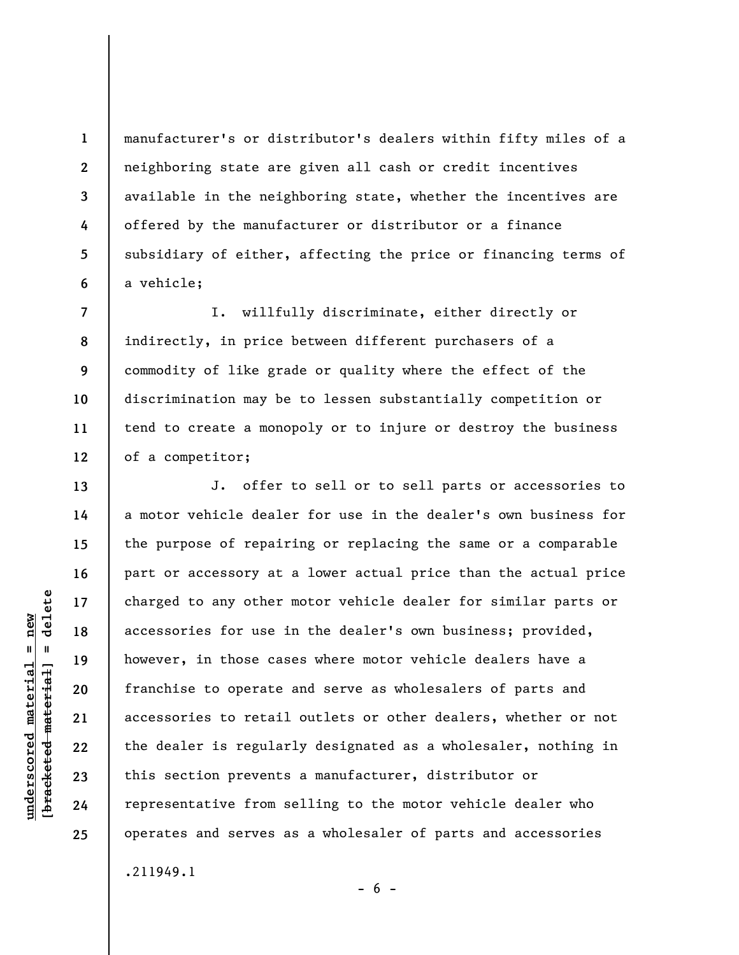manufacturer's or distributor's dealers within fifty miles of a neighboring state are given all cash or credit incentives available in the neighboring state, whether the incentives are offered by the manufacturer or distributor or a finance subsidiary of either, affecting the price or financing terms of a vehicle;

**7 8 9 10 11 12**  I. willfully discriminate, either directly or indirectly, in price between different purchasers of a commodity of like grade or quality where the effect of the discrimination may be to lessen substantially competition or tend to create a monopoly or to injure or destroy the business of a competitor;

J. offer to sell or to sell parts or accessories to a motor vehicle dealer for use in the dealer's own business for the purpose of repairing or replacing the same or a comparable part or accessory at a lower actual price than the actual price charged to any other motor vehicle dealer for similar parts or accessories for use in the dealer's own business; provided, however, in those cases where motor vehicle dealers have a franchise to operate and serve as wholesalers of parts and accessories to retail outlets or other dealers, whether or not the dealer is regularly designated as a wholesaler, nothing in this section prevents a manufacturer, distributor or representative from selling to the motor vehicle dealer who operates and serves as a wholesaler of parts and accessories .211949.1

 $- 6 -$ 

**1** 

**2** 

**3** 

**4** 

**5** 

**6** 

**13** 

**14** 

**15** 

**16** 

**17** 

**18** 

**19** 

**20** 

**21** 

**22** 

**23** 

**24**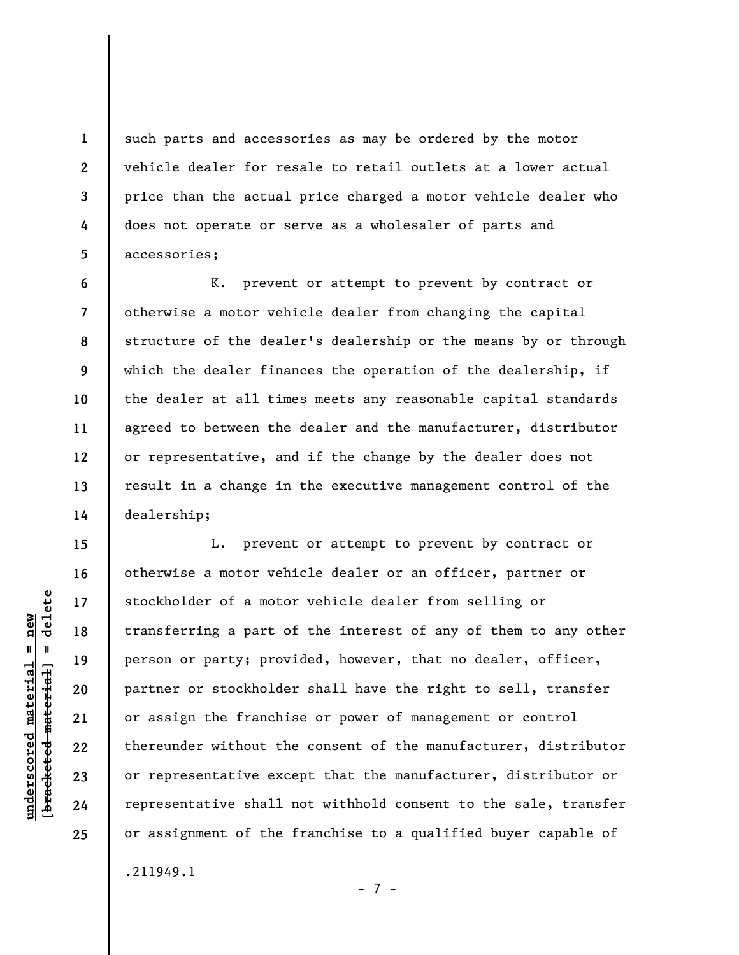such parts and accessories as may be ordered by the motor vehicle dealer for resale to retail outlets at a lower actual price than the actual price charged a motor vehicle dealer who does not operate or serve as a wholesaler of parts and accessories;

**6 7 8 9 10 11 12 13 14**  K. prevent or attempt to prevent by contract or otherwise a motor vehicle dealer from changing the capital structure of the dealer's dealership or the means by or through which the dealer finances the operation of the dealership, if the dealer at all times meets any reasonable capital standards agreed to between the dealer and the manufacturer, distributor or representative, and if the change by the dealer does not result in a change in the executive management control of the dealership;

L. prevent or attempt to prevent by contract or otherwise a motor vehicle dealer or an officer, partner or stockholder of a motor vehicle dealer from selling or transferring a part of the interest of any of them to any other person or party; provided, however, that no dealer, officer, partner or stockholder shall have the right to sell, transfer or assign the franchise or power of management or control thereunder without the consent of the manufacturer, distributor or representative except that the manufacturer, distributor or representative shall not withhold consent to the sale, transfer or assignment of the franchise to a qualified buyer capable of

- 7 -

.211949.1

 $b$ racketed material] = delete **[bracketed material] = delete**  $underscored material = new$ **underscored material = new**

**1** 

**2** 

**3** 

**4** 

**5** 

**15** 

**16** 

**17** 

**18** 

**19** 

**20** 

**21** 

**22** 

**23** 

**24**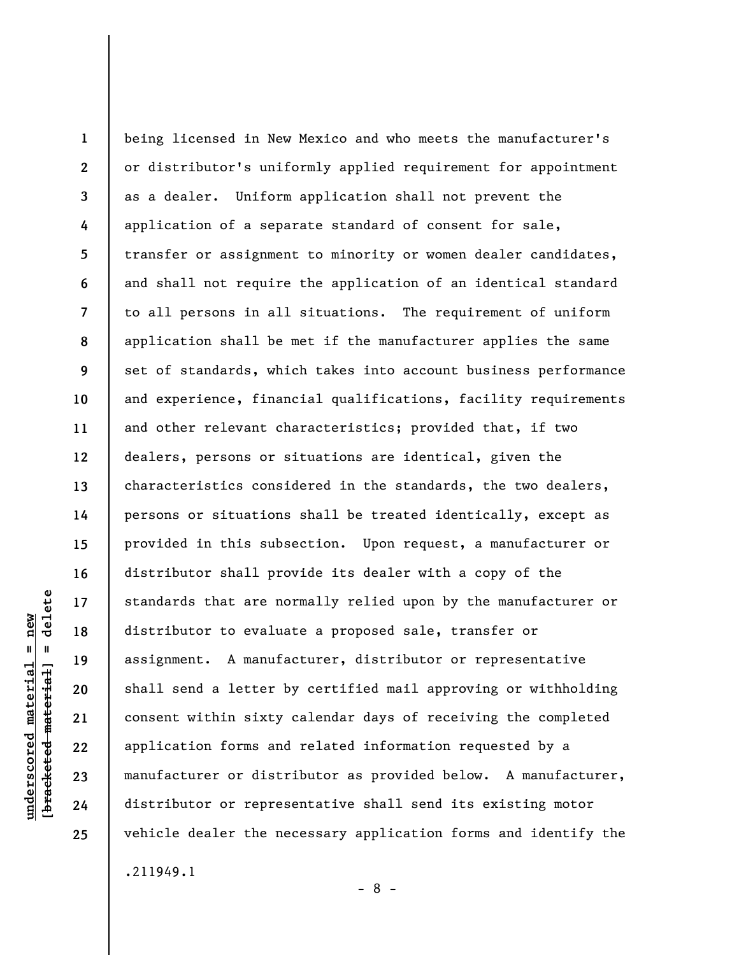**1 2 3 4 5 6 7 8 9 10 11 12 13 14 15 16 17 18 19 20 21 22 23 24 25**  being licensed in New Mexico and who meets the manufacturer's or distributor's uniformly applied requirement for appointment as a dealer. Uniform application shall not prevent the application of a separate standard of consent for sale, transfer or assignment to minority or women dealer candidates, and shall not require the application of an identical standard to all persons in all situations. The requirement of uniform application shall be met if the manufacturer applies the same set of standards, which takes into account business performance and experience, financial qualifications, facility requirements and other relevant characteristics; provided that, if two dealers, persons or situations are identical, given the characteristics considered in the standards, the two dealers, persons or situations shall be treated identically, except as provided in this subsection. Upon request, a manufacturer or distributor shall provide its dealer with a copy of the standards that are normally relied upon by the manufacturer or distributor to evaluate a proposed sale, transfer or assignment. A manufacturer, distributor or representative shall send a letter by certified mail approving or withholding consent within sixty calendar days of receiving the completed application forms and related information requested by a manufacturer or distributor as provided below. A manufacturer, distributor or representative shall send its existing motor vehicle dealer the necessary application forms and identify the .211949.1

- 8 -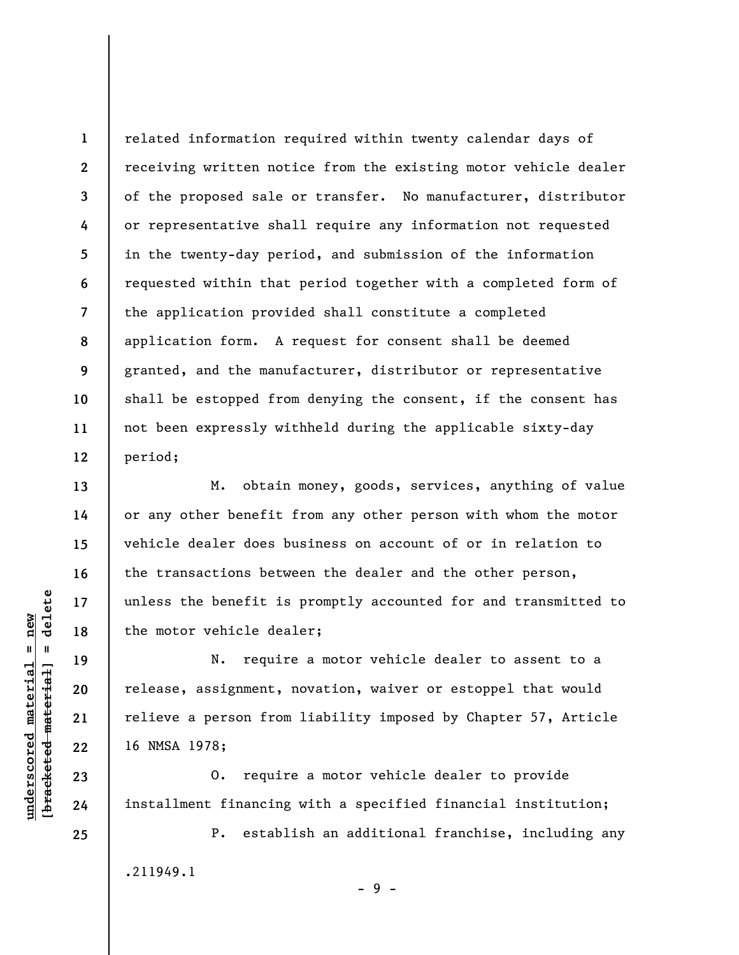related information required within twenty calendar days of receiving written notice from the existing motor vehicle dealer of the proposed sale or transfer. No manufacturer, distributor or representative shall require any information not requested in the twenty-day period, and submission of the information requested within that period together with a completed form of the application provided shall constitute a completed application form. A request for consent shall be deemed granted, and the manufacturer, distributor or representative shall be estopped from denying the consent, if the consent has not been expressly withheld during the applicable sixty-day period;

M. obtain money, goods, services, anything of value or any other benefit from any other person with whom the motor vehicle dealer does business on account of or in relation to the transactions between the dealer and the other person, unless the benefit is promptly accounted for and transmitted to the motor vehicle dealer;

N. require a motor vehicle dealer to assent to a release, assignment, novation, waiver or estoppel that would relieve a person from liability imposed by Chapter 57, Article 16 NMSA 1978;

O. require a motor vehicle dealer to provide installment financing with a specified financial institution;

P. establish an additional franchise, including any .211949.1 - 9 -

 $\frac{1}{2}$  intereted material = delete **[bracketed material] = delete**  $underscored material = new$ **underscored material = new**

**24 25** 

**1** 

**2** 

**3** 

**4** 

**5** 

**6** 

**7** 

**8** 

**9** 

**10** 

**11** 

**12** 

**13** 

**14** 

**15** 

**16** 

**17** 

**18** 

**19** 

**20** 

**21** 

**22**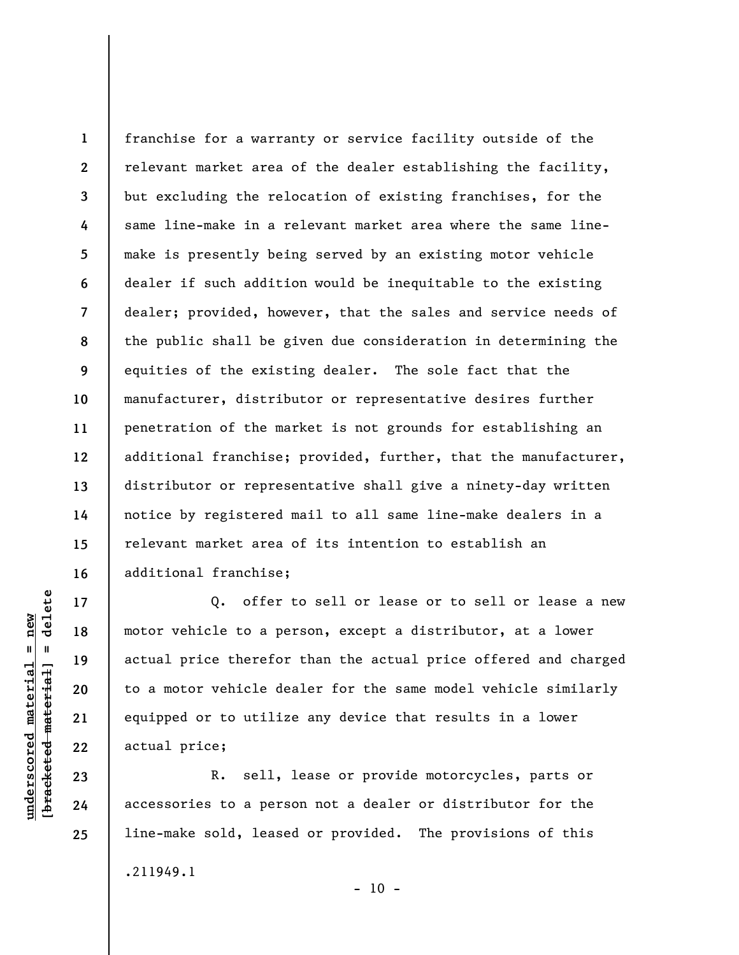**1 2 3 4 5 6 7 8 9 10 11 12 13 14 15 16**  franchise for a warranty or service facility outside of the relevant market area of the dealer establishing the facility, but excluding the relocation of existing franchises, for the same line-make in a relevant market area where the same linemake is presently being served by an existing motor vehicle dealer if such addition would be inequitable to the existing dealer; provided, however, that the sales and service needs of the public shall be given due consideration in determining the equities of the existing dealer. The sole fact that the manufacturer, distributor or representative desires further penetration of the market is not grounds for establishing an additional franchise; provided, further, that the manufacturer, distributor or representative shall give a ninety-day written notice by registered mail to all same line-make dealers in a relevant market area of its intention to establish an additional franchise;

Q. offer to sell or lease or to sell or lease a new motor vehicle to a person, except a distributor, at a lower actual price therefor than the actual price offered and charged to a motor vehicle dealer for the same model vehicle similarly equipped or to utilize any device that results in a lower actual price;

R. sell, lease or provide motorcycles, parts or accessories to a person not a dealer or distributor for the line-make sold, leased or provided. The provisions of this

 $\frac{1}{2}$  intereted material = delete **[bracketed material] = delete**  $underscored material = new$ **underscored material = new**

**17** 

**18** 

**19** 

**20** 

**21** 

**22** 

**23** 

**24** 

**25** 

.211949.1

 $- 10 -$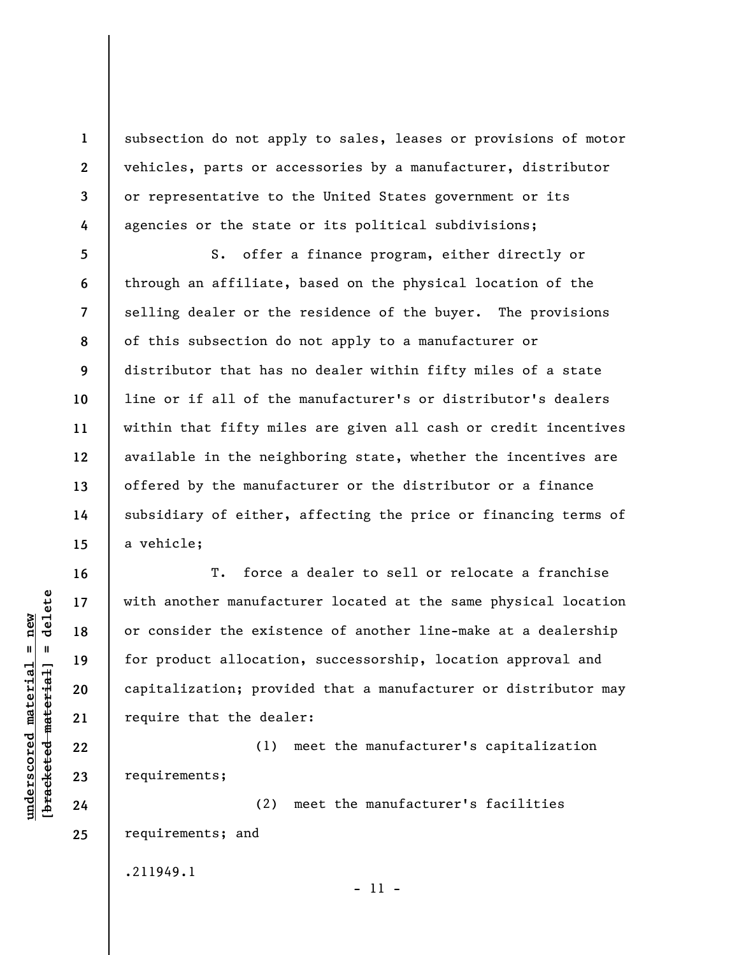subsection do not apply to sales, leases or provisions of motor vehicles, parts or accessories by a manufacturer, distributor or representative to the United States government or its agencies or the state or its political subdivisions;

S. offer a finance program, either directly or through an affiliate, based on the physical location of the selling dealer or the residence of the buyer. The provisions of this subsection do not apply to a manufacturer or distributor that has no dealer within fifty miles of a state line or if all of the manufacturer's or distributor's dealers within that fifty miles are given all cash or credit incentives available in the neighboring state, whether the incentives are offered by the manufacturer or the distributor or a finance subsidiary of either, affecting the price or financing terms of a vehicle;

T. force a dealer to sell or relocate a franchise with another manufacturer located at the same physical location or consider the existence of another line-make at a dealership for product allocation, successorship, location approval and capitalization; provided that a manufacturer or distributor may require that the dealer:

(1) meet the manufacturer's capitalization requirements;

(2) meet the manufacturer's facilities requirements; and

.211949.1

- 11 -

 $b$ racketed material] = delete **[bracketed material] = delete**  $underscored material = new$ **underscored material = new**

**1** 

**2** 

**3** 

**4** 

**5** 

**6** 

**7** 

**8** 

**9** 

**10** 

**11** 

**12** 

**13** 

**14** 

**15** 

**16** 

**17** 

**18** 

**19** 

**20** 

**21** 

**22** 

**23** 

**24**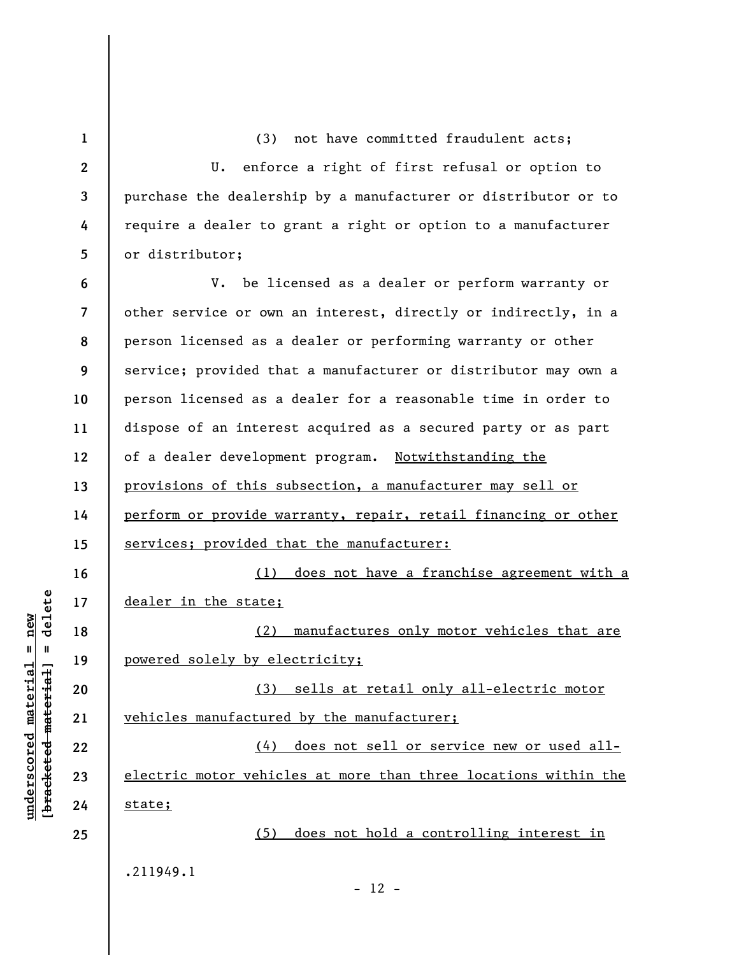**1 2 3 4 5 6 7 8 9 10 11 12 13 14 15 16 17 18 19 20 21 22 23 24 25**  (3) not have committed fraudulent acts; U. enforce a right of first refusal or option to purchase the dealership by a manufacturer or distributor or to require a dealer to grant a right or option to a manufacturer or distributor; V. be licensed as a dealer or perform warranty or other service or own an interest, directly or indirectly, in a person licensed as a dealer or performing warranty or other service; provided that a manufacturer or distributor may own a person licensed as a dealer for a reasonable time in order to dispose of an interest acquired as a secured party or as part of a dealer development program. Notwithstanding the provisions of this subsection, a manufacturer may sell or perform or provide warranty, repair, retail financing or other services; provided that the manufacturer: (1) does not have a franchise agreement with a dealer in the state; (2) manufactures only motor vehicles that are powered solely by electricity; (3) sells at retail only all-electric motor vehicles manufactured by the manufacturer; (4) does not sell or service new or used allelectric motor vehicles at more than three locations within the state; (5) does not hold a controlling interest in .211949.1 - 12 -

**underscored material = new [bracketed material] = delete**

 $\frac{1}{2}$  intereted material = delete  $anderscored material = new$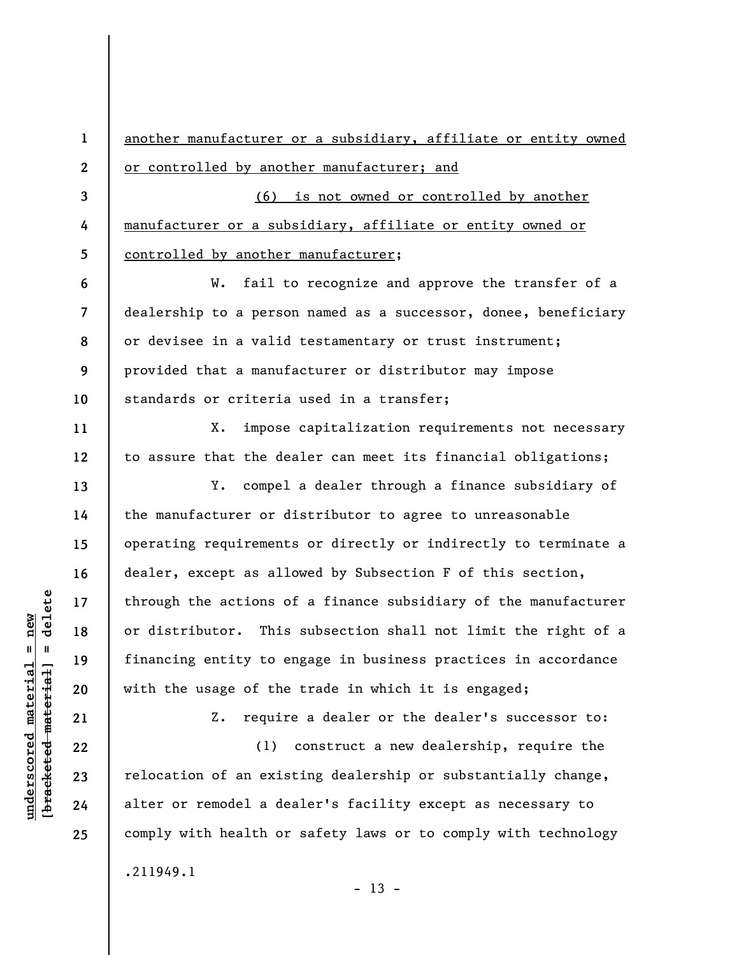**1 2 3 4 5 6 7 8 9 10 11 12 13 14 15 16 17 18 19 20 21 22 23 24 25**  another manufacturer or a subsidiary, affiliate or entity owned or controlled by another manufacturer; and (6) is not owned or controlled by another manufacturer or a subsidiary, affiliate or entity owned or controlled by another manufacturer; W. fail to recognize and approve the transfer of a dealership to a person named as a successor, donee, beneficiary or devisee in a valid testamentary or trust instrument; provided that a manufacturer or distributor may impose standards or criteria used in a transfer; X. impose capitalization requirements not necessary to assure that the dealer can meet its financial obligations; Y. compel a dealer through a finance subsidiary of the manufacturer or distributor to agree to unreasonable operating requirements or directly or indirectly to terminate a dealer, except as allowed by Subsection F of this section, through the actions of a finance subsidiary of the manufacturer or distributor. This subsection shall not limit the right of a financing entity to engage in business practices in accordance with the usage of the trade in which it is engaged; Z. require a dealer or the dealer's successor to: (1) construct a new dealership, require the relocation of an existing dealership or substantially change, alter or remodel a dealer's facility except as necessary to comply with health or safety laws or to comply with technology .211949.1

 $\frac{1}{2}$  of  $\frac{1}{2}$  and  $\frac{1}{2}$  and  $\frac{1}{2}$  and  $\frac{1}{2}$  and  $\frac{1}{2}$  and  $\frac{1}{2}$  and  $\frac{1}{2}$  and  $\frac{1}{2}$  and  $\frac{1}{2}$  and  $\frac{1}{2}$  and  $\frac{1}{2}$  and  $\frac{1}{2}$  and  $\frac{1}{2}$  and  $\frac{1}{2}$  and  $\frac{1}{2}$  an **[bracketed material] = delete**  $anderscored material = new$ **underscored material = new**

 $- 13 -$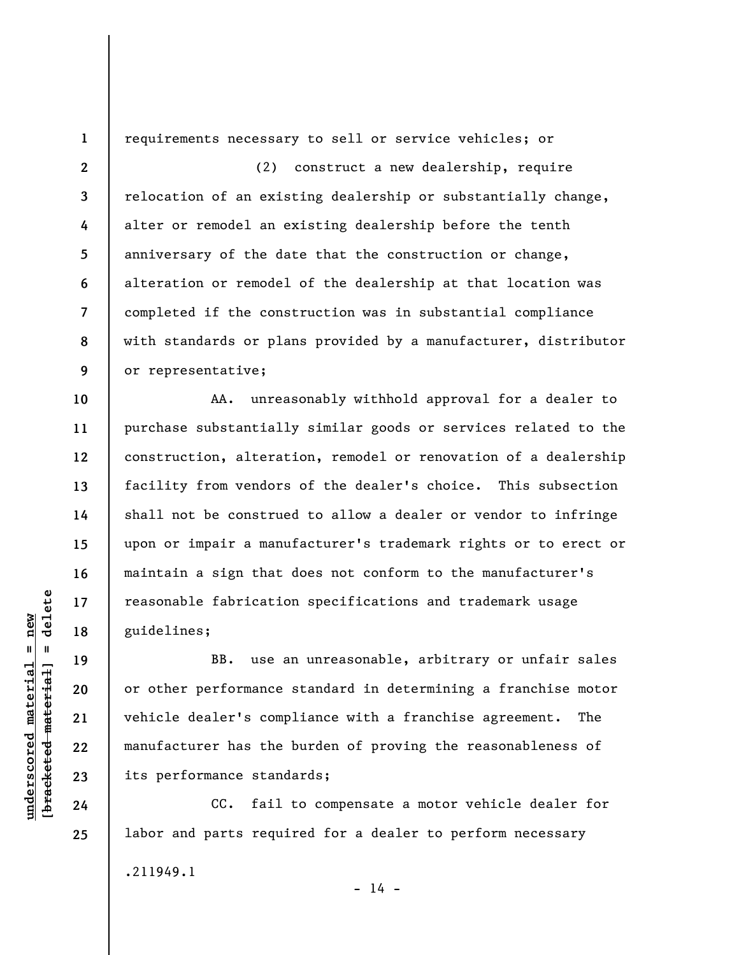**1** 

**10** 

**11** 

**12** 

**13** 

**14** 

**15** 

**16** 

**17** 

**18** 

**19** 

**20** 

**21** 

**22** 

**23** 

**24** 

**25** 

requirements necessary to sell or service vehicles; or

**2 3 4 5 6 7 8 9**  (2) construct a new dealership, require relocation of an existing dealership or substantially change, alter or remodel an existing dealership before the tenth anniversary of the date that the construction or change, alteration or remodel of the dealership at that location was completed if the construction was in substantial compliance with standards or plans provided by a manufacturer, distributor or representative;

AA. unreasonably withhold approval for a dealer to purchase substantially similar goods or services related to the construction, alteration, remodel or renovation of a dealership facility from vendors of the dealer's choice. This subsection shall not be construed to allow a dealer or vendor to infringe upon or impair a manufacturer's trademark rights or to erect or maintain a sign that does not conform to the manufacturer's reasonable fabrication specifications and trademark usage guidelines;

BB. use an unreasonable, arbitrary or unfair sales or other performance standard in determining a franchise motor vehicle dealer's compliance with a franchise agreement. The manufacturer has the burden of proving the reasonableness of its performance standards;

CC. fail to compensate a motor vehicle dealer for labor and parts required for a dealer to perform necessary .211949.1  $- 14 -$ 

 $\frac{1}{2}$  intereted material = delete **[bracketed material] = delete**  $underscored material = new$ **underscored material = new**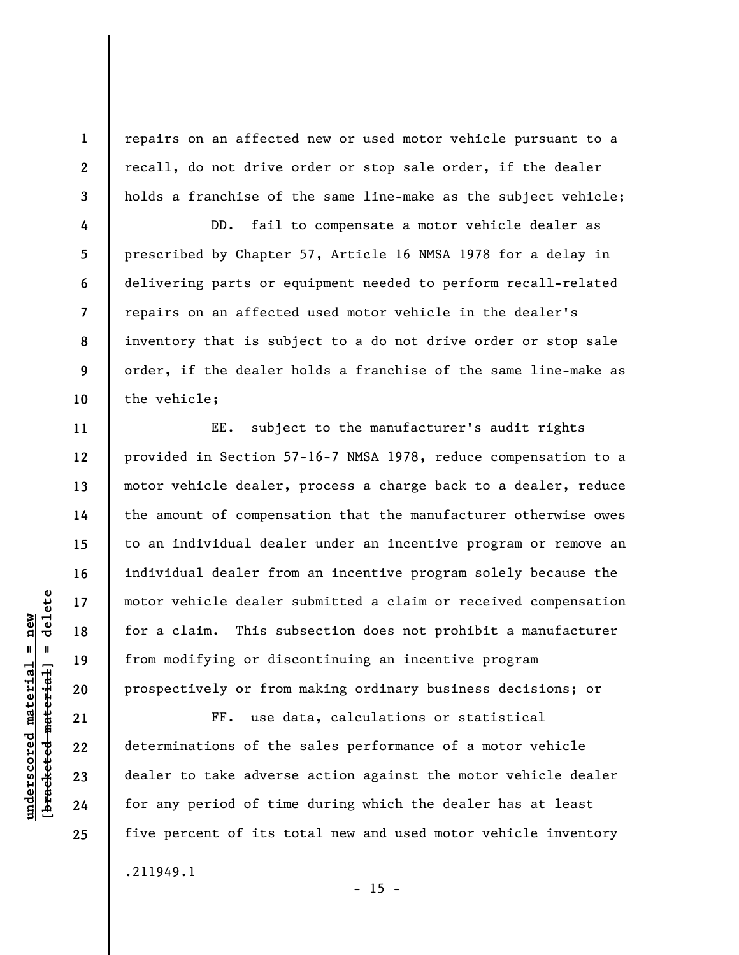repairs on an affected new or used motor vehicle pursuant to a recall, do not drive order or stop sale order, if the dealer holds a franchise of the same line-make as the subject vehicle;

**4 5 6 7 8 9 10**  DD. fail to compensate a motor vehicle dealer as prescribed by Chapter 57, Article 16 NMSA 1978 for a delay in delivering parts or equipment needed to perform recall-related repairs on an affected used motor vehicle in the dealer's inventory that is subject to a do not drive order or stop sale order, if the dealer holds a franchise of the same line-make as the vehicle;

EE. subject to the manufacturer's audit rights provided in Section 57-16-7 NMSA 1978, reduce compensation to a motor vehicle dealer, process a charge back to a dealer, reduce the amount of compensation that the manufacturer otherwise owes to an individual dealer under an incentive program or remove an individual dealer from an incentive program solely because the motor vehicle dealer submitted a claim or received compensation for a claim. This subsection does not prohibit a manufacturer from modifying or discontinuing an incentive program prospectively or from making ordinary business decisions; or

FF. use data, calculations or statistical determinations of the sales performance of a motor vehicle dealer to take adverse action against the motor vehicle dealer for any period of time during which the dealer has at least five percent of its total new and used motor vehicle inventory .211949.1

 $- 15 -$ 

delete **[bracketed material] = delete**  $underscored material = new$ **underscored material = new**  $\mathbf{I}$ bracketed material

**1** 

**2** 

**3** 

**11** 

**12** 

**13** 

**14** 

**15** 

**16** 

**17** 

**18** 

**19** 

**20** 

**21** 

**22** 

**23** 

**24**